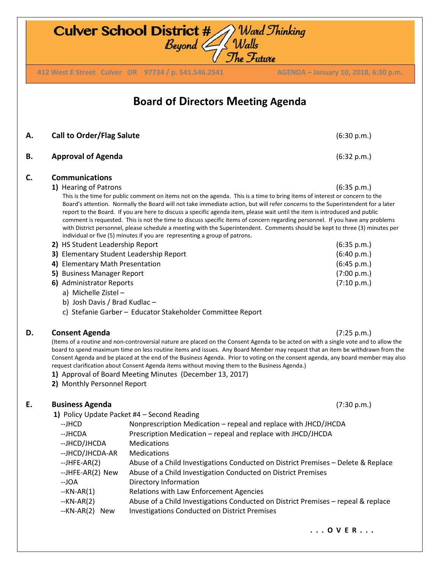**Culver School District #** Ward Thinking<br>Beyond Walls The Future **412 West E Street Culver OR 97734 / p. 541.546.2541 AGENDA – January 10, 2018, 6:30 p.m. 412 West E Street Culver OR 97734 / p. 541.546.2541 AGENDA – January 10, 2018, 6:30 p.m.Board of Directors Meeting Agenda A. Call to Order/Flag Salute** (6:30 p.m.) **B. Approval of Agenda** (6:32 p.m.) **C. Communications 1)** Hearing of Patrons (6:35 p.m.) This is the time for public comment on items not on the agenda. This is a time to bring items of interest or concern to the Board's attention. Normally the Board will not take immediate action, but will refer concerns to the Superintendent for a later report to the Board. If you are here to discuss a specific agenda item, please wait until the item is introduced and public comment is requested. This is not the time to discuss specific items of concern regarding personnel. If you have any problems with District personnel, please schedule a meeting with the Superintendent. Comments should be kept to three (3) minutes per individual or five (5) minutes if you are representing a group of patrons. **2)** HS Student Leadership Report (6:35 p.m.) **3)** Elementary Student Leadership Report (6:40 p.m.) **4)** Elementary Math Presentation (6:45 p.m.) **5)** Business Manager Report (7:00 p.m.) **6)** Administrator Reports (7:10 p.m.) a) Michelle Zistel – b) Josh Davis / Brad Kudlac – c) Stefanie Garber – Educator Stakeholder Committee Report **D. Consent Agenda** (7:25 p.m.) (Items of a routine and non-controversial nature are placed on the Consent Agenda to be acted on with a single vote and to allow the board to spend maximum time on less routine items and issues. Any Board Member may request that an item be withdrawn from the Consent Agenda and be placed at the end of the Business Agenda. Prior to voting on the consent agenda, any board member may also request clarification about Consent Agenda items without moving them to the Business Agenda.) **1)** Approval of Board Meeting Minutes (December 13, 2017) **2)** Monthly Personnel Report **E. Business Agenda** (7:30 p.m.) **1)** Policy Update Packet #4 – Second Reading --JHCD Nonprescription Medication – repeal and replace with JHCD/JHCDA --JHCDA Prescription Medication – repeal and replace with JHCD/JHCDA --JHCD/JHCDA Medications --JHCD/JHCDA-AR Medications --JHFE-AR(2) Abuse of a Child Investigations Conducted on District Premises – Delete & Replace --JHFE-AR(2) New Abuse of a Child Investigation Conducted on District Premises

- --JOA Directory Information
- --KN-AR(1) Relations with Law Enforcement Agencies
- --KN-AR(2) Abuse of a Child Investigations Conducted on District Premises repeal & replace
- --KN-AR(2) New Investigations Conducted on District Premises

**. . . O V E R . . .**